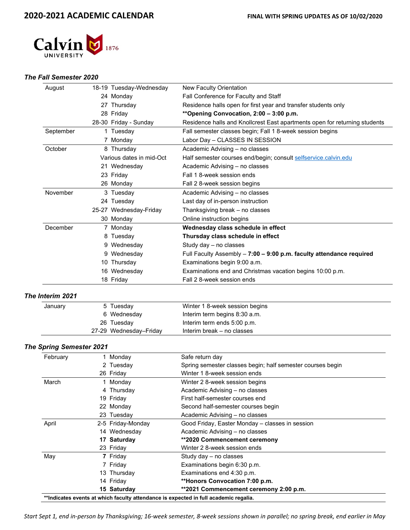

### *The Fall Semester 2020*

| August    | 18-19 Tuesday-Wednesday  | <b>New Faculty Orientation</b>                                             |  |
|-----------|--------------------------|----------------------------------------------------------------------------|--|
|           | 24 Monday                | Fall Conference for Faculty and Staff                                      |  |
|           | 27 Thursday              | Residence halls open for first year and transfer students only             |  |
|           | 28 Friday                | **Opening Convocation, 2:00 - 3:00 p.m.                                    |  |
|           | 28-30 Friday - Sunday    | Residence halls and Knollcrest East apartments open for returning students |  |
| September | 1 Tuesday                | Fall semester classes begin; Fall 1 8-week session begins                  |  |
|           | 7 Monday                 | Labor Day - CLASSES IN SESSION                                             |  |
| October   | 8 Thursday               | Academic Advising - no classes                                             |  |
|           | Various dates in mid-Oct | Half semester courses end/begin; consult selfservice.calvin.edu            |  |
|           | 21 Wednesday             | Academic Advising - no classes                                             |  |
|           | 23 Friday                | Fall 1 8-week session ends                                                 |  |
|           | 26 Monday                | Fall 2 8-week session begins                                               |  |
| November  | 3 Tuesday                | Academic Advising - no classes                                             |  |
|           | 24 Tuesday               | Last day of in-person instruction                                          |  |
|           | 25-27 Wednesday-Friday   | Thanksgiving break - no classes                                            |  |
|           | 30 Monday                | Online instruction begins                                                  |  |
| December  | 7 Monday                 | Wednesday class schedule in effect                                         |  |
|           | 8 Tuesday                | Thursday class schedule in effect                                          |  |
|           | 9 Wednesday              | Study day - no classes                                                     |  |
|           | 9 Wednesday              | Full Faculty Assembly - 7:00 - 9:00 p.m. faculty attendance required       |  |
|           | 10 Thursday              | Examinations begin 9:00 a.m.                                               |  |
|           | 16 Wednesday             | Examinations end and Christmas vacation begins 10:00 p.m.                  |  |
|           | 18 Friday                | Fall 2 8-week session ends                                                 |  |

### *The Interim 2021*

| January | 5 Tuesday              | Winter 1 8-week session begins |
|---------|------------------------|--------------------------------|
|         | 6 Wednesday            | Interim term begins 8:30 a.m.  |
|         | 26 Tuesday             | Interim term ends 5:00 p.m.    |
|         | 27-29 Wednesday–Friday | Interim break – no classes     |

#### *The Spring Semester 2021*

| February | Monday            | Safe return day                                                                      |
|----------|-------------------|--------------------------------------------------------------------------------------|
|          | 2 Tuesday         | Spring semester classes begin; half semester courses begin                           |
|          | 26 Friday         | Winter 1 8-week session ends                                                         |
| March    | Monday            | Winter 2 8-week session begins                                                       |
|          | 4 Thursday        | Academic Advising – no classes                                                       |
|          | 19 Friday         | First half-semester courses end                                                      |
|          | 22 Monday         | Second half-semester courses begin                                                   |
|          | 23 Tuesday        | Academic Advising – no classes                                                       |
| April    | 2-5 Friday-Monday | Good Friday, Easter Monday – classes in session                                      |
|          | 14 Wednesday      | Academic Advising – no classes                                                       |
|          | 17 Saturday       | **2020 Commencement ceremony                                                         |
|          | 23 Friday         | Winter 2 8-week session ends                                                         |
| May      | 7 Friday          | Study day - no classes                                                               |
|          | 7 Friday          | Examinations begin 6:30 p.m.                                                         |
|          | 13 Thursday       | Examinations end 4:30 p.m.                                                           |
|          | 14 Friday         | **Honors Convocation 7:00 p.m.                                                       |
|          | 15 Saturday       | **2021 Commencement ceremony 2:00 p.m.                                               |
|          |                   | **Indicates events at which faculty attendance is expected in full academic regalia. |
|          |                   |                                                                                      |

*Start Sept 1, end in-person by Thanksgiving; 16-week semester, 8-week sessions shown in parallel; no spring break, end earlier in May*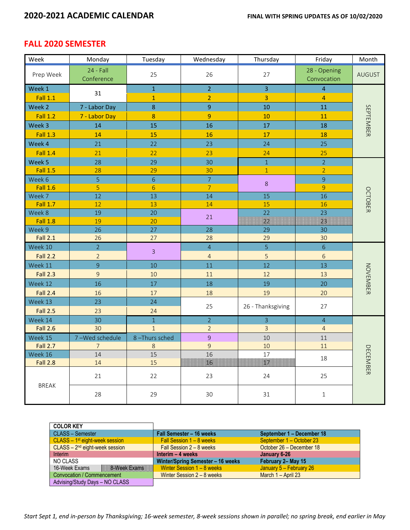# **FALL 2020 SEMESTER**

| Week            | Monday                    | Tuesday          | Wednesday        | Thursday          | Friday                      | Month           |
|-----------------|---------------------------|------------------|------------------|-------------------|-----------------------------|-----------------|
| Prep Week       | $24 - Fall$<br>Conference | 25               | 26               | 27                | 28 - Opening<br>Convocation | <b>AUGUST</b>   |
| Week 1          | 31                        | $\overline{1}$   | $\overline{2}$   | $\overline{3}$    | $\overline{4}$              |                 |
| <b>Fall 1.1</b> |                           | $\mathbf{1}$     | $\overline{2}$   | $\overline{3}$    | $\overline{4}$              |                 |
| Week 2          | 7 - Labor Day             | $\boldsymbol{8}$ | $\boldsymbol{9}$ | 10                | 11                          |                 |
| <b>Fall 1.2</b> | 7 - Labor Day             | $\boldsymbol{8}$ | $\overline{9}$   | 10                | 11                          |                 |
| Week 3          | 14                        | 15               | 16               | 17                | 18                          | SEPTEMBER       |
| <b>Fall 1.3</b> | 14                        | 15               | 16               | 17                | 18                          |                 |
| Week 4          | 21                        | 22               | 23               | 24                | 25                          |                 |
| <b>Fall 1.4</b> | 21                        | 22               | 23               | 24                | 25                          |                 |
| Week 5          | 28                        | 29               | 30               | $\overline{1}$    | $\overline{2}$              |                 |
| <b>Fall 1.5</b> | 28                        | 29               | 30               | $\overline{1}$    | $\overline{2}$              |                 |
| Week 6          | $\overline{5}$            | $\sqrt{6}$       | $\overline{7}$   | $\,8\,$           | $\overline{9}$              |                 |
| <b>Fall 1.6</b> | $\overline{5}$            | $6\phantom{1}6$  | $\overline{7}$   |                   | $\overline{9}$              |                 |
| Week 7          | 12                        | 13               | 14               | 15                | 16                          | <b>OCTOBER</b>  |
| <b>Fall 1.7</b> | 12                        | 13               | 14               | 15                | 16                          |                 |
| Week 8          | 19                        | 20               | 21               | 22                | 23                          |                 |
| <b>Fall 1.8</b> | 19                        | 20               |                  | $\overline{22}$   | $\overline{23}$             |                 |
| Week 9          | 26                        | 27               | 28               | 29                | 30                          |                 |
| <b>Fall 2.1</b> | 26                        | 27               | 28               | 29                | 30                          |                 |
| Week 10         | $\overline{2}$            | $\overline{3}$   | $\overline{4}$   | $\overline{5}$    | 6                           |                 |
| <b>Fall 2.2</b> | $\overline{2}$            |                  | $\overline{4}$   | 5                 | 6                           |                 |
| Week 11         | $\overline{9}$            | 10               | 11               | 12                | 13                          | <b>NOVEMBER</b> |
| <b>Fall 2.3</b> | $\overline{9}$            | 10               | 11               | 12                | 13                          |                 |
| Week 12         | 16                        | 17               | 18               | 19                | 20                          |                 |
| <b>Fall 2.4</b> | 16                        | $17\,$           | 18               | 19                | 20                          |                 |
| Week 13         | 23                        | 24               | 25               | 26 - Thanksgiving | 27                          |                 |
| <b>Fall 2.5</b> | 23                        | 24               |                  |                   |                             |                 |
| Week 14         | 30                        | $\overline{1}$   | $\overline{2}$   | $\overline{3}$    | $\overline{4}$              |                 |
| <b>Fall 2.6</b> | 30                        | $\mathbf{1}$     | $\overline{2}$   | $\overline{3}$    | $\overline{4}$              |                 |
| Week 15         | 7-Wed schedule            | 8-Thurs sched    | $\overline{9}$   | 10                | 11                          |                 |
| <b>Fall 2.7</b> | $\overline{7}$            | 8                | $\overline{9}$   | $10\,$            | $11\,$                      |                 |
| Week 16         | 14                        | 15               | 16               | 17                | 18                          | <b>DECEMBER</b> |
| <b>Fall 2.8</b> | 14                        | 15               | $16\,$           | $\overline{17}$   |                             |                 |
|                 | 21                        | 22               | 23               | 24                | 25                          |                 |
| <b>BREAK</b>    | 28                        | 29               | 30               | 31                | $\mathbf 1$                 |                 |

| <b>COLOR KEY</b>                 |                                   |                           |
|----------------------------------|-----------------------------------|---------------------------|
| <b>CLASS - Semester</b>          | Fall Semester - 16 weeks          | September 1 - December 18 |
| $CLASS - 1st$ eight-week session | Fall Session $1 - 8$ weeks        | September 1 - October 23  |
| $CLASS - 2nd$ eight-week session | Fall Session 2 – 8 weeks          | October 26 - December 18  |
| Interim                          | Interim $-4$ weeks                | January 6-26              |
| NO CLASS                         | Winter/Spring Semester - 16 weeks | February 2– May 15        |
| 8-Week Exams<br>16-Week Exams    | Winter Session $1 - 8$ weeks      | January 5 - February 26   |
| Convocation / Commencement       | Winter Session $2 - 8$ weeks      | March $1 -$ April 23      |
| Advising/Study Days - NO CLASS   |                                   |                           |

*Start Sept 1, end in-person by Thanksgiving; 16-week semester, 8-week sessions shown in parallel; no spring break, end earlier in May*